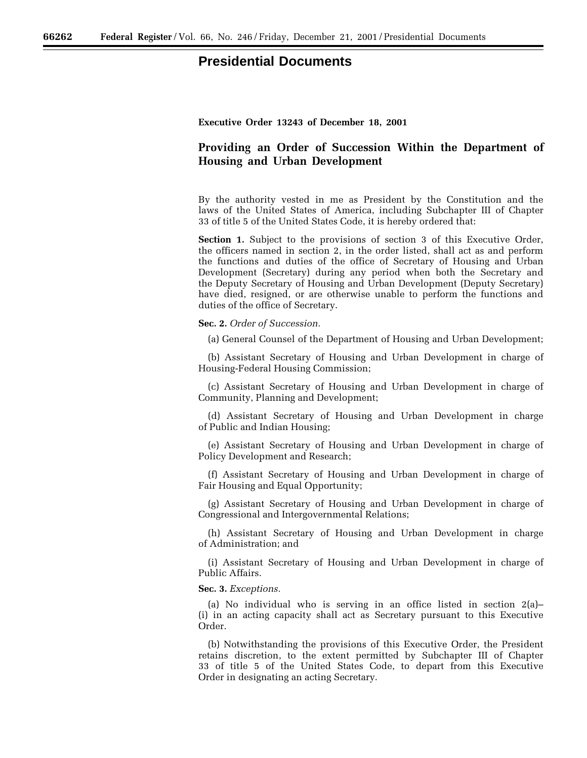## **Presidential Documents**

## **Executive Order 13243 of December 18, 2001**

## **Providing an Order of Succession Within the Department of Housing and Urban Development**

By the authority vested in me as President by the Constitution and the laws of the United States of America, including Subchapter III of Chapter 33 of title 5 of the United States Code, it is hereby ordered that:

**Section 1.** Subject to the provisions of section 3 of this Executive Order, the officers named in section 2, in the order listed, shall act as and perform the functions and duties of the office of Secretary of Housing and Urban Development (Secretary) during any period when both the Secretary and the Deputy Secretary of Housing and Urban Development (Deputy Secretary) have died, resigned, or are otherwise unable to perform the functions and duties of the office of Secretary.

**Sec. 2.** *Order of Succession.*

(a) General Counsel of the Department of Housing and Urban Development;

(b) Assistant Secretary of Housing and Urban Development in charge of Housing-Federal Housing Commission;

(c) Assistant Secretary of Housing and Urban Development in charge of Community, Planning and Development;

(d) Assistant Secretary of Housing and Urban Development in charge of Public and Indian Housing;

(e) Assistant Secretary of Housing and Urban Development in charge of Policy Development and Research;

(f) Assistant Secretary of Housing and Urban Development in charge of Fair Housing and Equal Opportunity;

(g) Assistant Secretary of Housing and Urban Development in charge of Congressional and Intergovernmental Relations;

(h) Assistant Secretary of Housing and Urban Development in charge of Administration; and

(i) Assistant Secretary of Housing and Urban Development in charge of Public Affairs.

**Sec. 3.** *Exceptions.*

(a) No individual who is serving in an office listed in section 2(a)– (i) in an acting capacity shall act as Secretary pursuant to this Executive Order.

(b) Notwithstanding the provisions of this Executive Order, the President retains discretion, to the extent permitted by Subchapter III of Chapter 33 of title 5 of the United States Code, to depart from this Executive Order in designating an acting Secretary.